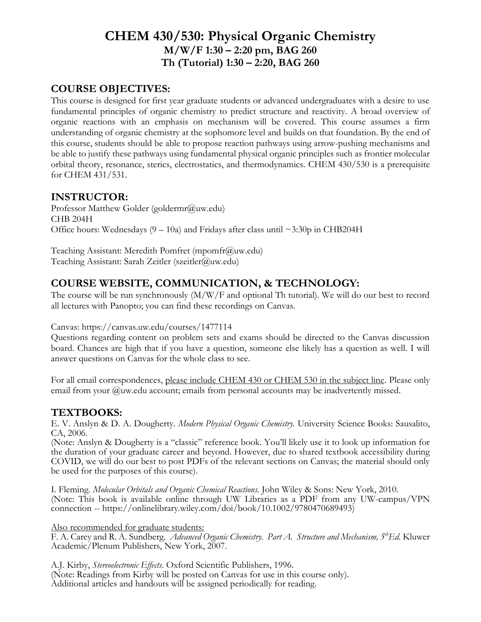# **CHEM 430/530: Physical Organic Chemistry M/W/F 1:30 – 2:20 pm, BAG 260 Th (Tutorial) 1:30 – 2:20, BAG 260**

#### **COURSE OBJECTIVES:**

This course is designed for first year graduate students or advanced undergraduates with a desire to use fundamental principles of organic chemistry to predict structure and reactivity. A broad overview of organic reactions with an emphasis on mechanism will be covered. This course assumes a firm understanding of organic chemistry at the sophomore level and builds on that foundation. By the end of this course, students should be able to propose reaction pathways using arrow-pushing mechanisms and be able to justify these pathways using fundamental physical organic principles such as frontier molecular orbital theory, resonance, sterics, electrostatics, and thermodynamics. CHEM 430/530 is a prerequisite for CHEM 431/531.

#### **INSTRUCTOR:**

Professor Matthew Golder (goldermr@uw.edu) CHB 204H Office hours: Wednesdays  $(9 - 10a)$  and Fridays after class until ~3:30p in CHB204H

Teaching Assistant: Meredith Pomfret (mpomfr@uw.edu) Teaching Assistant: Sarah Zeitler (szeitler@uw.edu)

#### **COURSE WEBSITE, COMMUNICATION, & TECHNOLOGY:**

The course will be run synchronously (M/W/F and optional Th tutorial). We will do our best to record all lectures with Panopto; you can find these recordings on Canvas.

#### Canvas: https://canvas.uw.edu/courses/1477114

Questions regarding content on problem sets and exams should be directed to the Canvas discussion board. Chances are high that if you have a question, someone else likely has a question as well. I will answer questions on Canvas for the whole class to see.

For all email correspondences, please include CHEM 430 or CHEM 530 in the subject line. Please only email from your @uw.edu account; emails from personal accounts may be inadvertently missed.

#### **TEXTBOOKS:**

E. V. Anslyn & D. A. Dougherty. *Modern Physical Organic Chemistry.* University Science Books: Sausalito, CA, 2006.

(Note: Anslyn & Dougherty is a "classic" reference book. You'll likely use it to look up information for the duration of your graduate career and beyond. However, due to shared textbook accessibility during COVID, we will do our best to post PDFs of the relevant sections on Canvas; the material should only be used for the purposes of this course).

I. Fleming. *Molecular Orbitals and Organic Chemical Reactions.* John Wiley & Sons: New York, 2010. (Note: This book is available online through UW Libraries as a PDF from any UW-campus/VPN connection -- https://onlinelibrary.wiley.com/doi/book/10.1002/9780470689493)

Also recommended for graduate students:

F. A. Carey and R. A. Sundberg. *Advanced Organic Chemistry. Part A. Structure and Mechanism, 5thEd.* Kluwer Academic/Plenum Publishers, New York, 2007.

A.J. Kirby, *Stereoelectronic Effects*. Oxford Scientific Publishers, 1996. (Note: Readings from Kirby will be posted on Canvas for use in this course only). Additional articles and handouts will be assigned periodically for reading.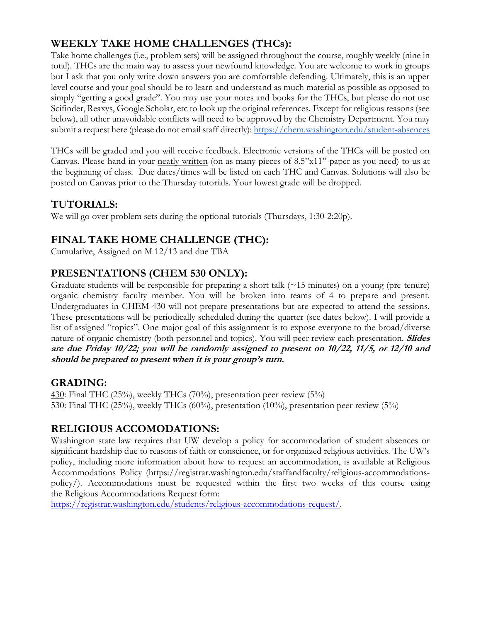## **WEEKLY TAKE HOME CHALLENGES (THCs):**

Take home challenges (i.e., problem sets) will be assigned throughout the course, roughly weekly (nine in total). THCs are the main way to assess your newfound knowledge. You are welcome to work in groups but I ask that you only write down answers you are comfortable defending. Ultimately, this is an upper level course and your goal should be to learn and understand as much material as possible as opposed to simply "getting a good grade". You may use your notes and books for the THCs, but please do not use Scifinder, Reaxys, Google Scholar, etc to look up the original references. Except for religious reasons (see below), all other unavoidable conflicts will need to be approved by the Chemistry Department. You may submit a request here (please do not email staff directly):<https://chem.washington.edu/student-absences>

THCs will be graded and you will receive feedback. Electronic versions of the THCs will be posted on Canvas. Please hand in your neatly written (on as many pieces of  $8.5$ "x11" paper as you need) to us at the beginning of class. Due dates/times will be listed on each THC and Canvas. Solutions will also be posted on Canvas prior to the Thursday tutorials. Your lowest grade will be dropped.

### **TUTORIALS:**

We will go over problem sets during the optional tutorials (Thursdays, 1:30-2:20p).

### **FINAL TAKE HOME CHALLENGE (THC):**

Cumulative, Assigned on M 12/13 and due TBA

### **PRESENTATIONS (CHEM 530 ONLY):**

Graduate students will be responsible for preparing a short talk (~15 minutes) on a young (pre-tenure) organic chemistry faculty member. You will be broken into teams of 4 to prepare and present. Undergraduates in CHEM 430 will not prepare presentations but are expected to attend the sessions. These presentations will be periodically scheduled during the quarter (see dates below). I will provide a list of assigned "topics". One major goal of this assignment is to expose everyone to the broad/diverse nature of organic chemistry (both personnel and topics). You will peer review each presentation. **Slides are due Friday 10/22; you will be randomly assigned to present on 10/22, 11/5, or 12/10 and should be prepared to present when it is your group's turn.**

### **GRADING:**

430: Final THC (25%), weekly THCs (70%), presentation peer review (5%) 530: Final THC (25%), weekly THCs (60%), presentation (10%), presentation peer review (5%)

### **RELIGIOUS ACCOMODATIONS:**

Washington state law requires that UW develop a policy for accommodation of student absences or significant hardship due to reasons of faith or conscience, or for organized religious activities. The UW's policy, including more information about how to request an accommodation, is available at Religious Accommodations Policy (https://registrar.washington.edu/staffandfaculty/religious-accommodationspolicy/). Accommodations must be requested within the first two weeks of this course using the Religious Accommodations Request form:

[https://registrar.washington.edu/students/religious-accommodations-request/.](https://registrar.washington.edu/students/religious-accommodations-request/)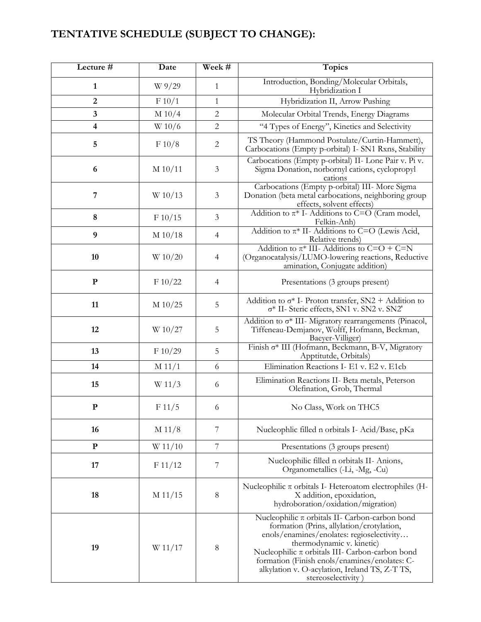# **TENTATIVE SCHEDULE (SUBJECT TO CHANGE):**

| Lecture #               | Date      | Week #          | <b>Topics</b>                                                                                                                                                                                                                                                                                                                                             |
|-------------------------|-----------|-----------------|-----------------------------------------------------------------------------------------------------------------------------------------------------------------------------------------------------------------------------------------------------------------------------------------------------------------------------------------------------------|
| 1                       | W 9/29    | $\mathbf{1}$    | Introduction, Bonding/Molecular Orbitals,<br>Hybridization I                                                                                                                                                                                                                                                                                              |
| $\overline{2}$          | F 10/1    | $\mathbf{1}$    | Hybridization II, Arrow Pushing                                                                                                                                                                                                                                                                                                                           |
| 3                       | $M$ 10/4  | $\overline{2}$  | Molecular Orbital Trends, Energy Diagrams                                                                                                                                                                                                                                                                                                                 |
| $\overline{\mathbf{4}}$ | W 10/6    | $\overline{2}$  | "4 Types of Energy", Kinetics and Selectivity                                                                                                                                                                                                                                                                                                             |
| 5                       | F 10/8    | 2               | TS Theory (Hammond Postulate/Curtin-Hammett),<br>Carbocations (Empty p-orbital) I- SN1 Rxns, Stability                                                                                                                                                                                                                                                    |
| 6                       | M 10/11   | 3               | Carbocations (Empty p-orbital) II- Lone Pair v. Pi v.<br>Sigma Donation, norbornyl cations, cyclopropyl<br>cations                                                                                                                                                                                                                                        |
| 7                       | W 10/13   | 3               | Carbocations (Empty p-orbital) III- More Sigma<br>Donation (beta metal carbocations, neighboring group<br>effects, solvent effects)                                                                                                                                                                                                                       |
| 8                       | F 10/15   | $\mathfrak{Z}$  | Addition to $\pi^*$ I-Additions to C=O (Cram model,<br>Felkin-Anh)                                                                                                                                                                                                                                                                                        |
| 9                       | M 10/18   | $\overline{4}$  | Addition to $\pi^*$ II- Additions to C=O (Lewis Acid,<br>Relative trends)                                                                                                                                                                                                                                                                                 |
| 10                      | W 10/20   | $\overline{4}$  | Addition to $\pi^*$ III- Additions to C=O + C=N<br>(Organocatalysis/LUMO-lowering reactions, Reductive<br>amination, Conjugate addition)                                                                                                                                                                                                                  |
| ${\bf P}$               | F 10/22   | $\overline{4}$  | Presentations (3 groups present)                                                                                                                                                                                                                                                                                                                          |
| 11                      | M 10/25   | 5               | Addition to $\sigma^*$ I- Proton transfer, SN2 + Addition to<br>$\sigma^*$ II- Steric effects, SN1 v. SN2 v. SN2'                                                                                                                                                                                                                                         |
| 12                      | W 10/27   | 5               | Addition to $\sigma^*$ III- Migratory rearrangements (Pinacol,<br>Tiffeneau-Demjanov, Wolff, Hofmann, Beckman,<br>Baeyer-Villiger)                                                                                                                                                                                                                        |
| 13                      | F 10/29   | 5               | Finish o* III (Hofmann, Beckmann, B-V, Migratory<br>Apptitutde, Orbitals)                                                                                                                                                                                                                                                                                 |
| 14                      | M 11/1    | 6               | Elimination Reactions I- E1 v. E2 v. E1cb                                                                                                                                                                                                                                                                                                                 |
| 15                      | W 11/3    | 6               | Elimination Reactions II- Beta metals, Peterson<br>Olefination, Grob, Thermal                                                                                                                                                                                                                                                                             |
| ${\bf P}$               | F 11/5    | 6               | No Class, Work on THC5                                                                                                                                                                                                                                                                                                                                    |
| 16                      | M 11/8    | 7               | Nucleophlic filled n orbitals I- Acid/Base, pKa                                                                                                                                                                                                                                                                                                           |
| ${\bf P}$               | W 11/10   | $7\phantom{.0}$ | Presentations (3 groups present)                                                                                                                                                                                                                                                                                                                          |
| 17                      | F 11/12   | 7               | Nucleophilic filled n orbitals II- Anions,<br>Organometallics (-Li, -Mg, -Cu)                                                                                                                                                                                                                                                                             |
| 18                      | $M$ 11/15 | 8               | Nucleophilic $\pi$ orbitals I- Heteroatom electrophiles (H-<br>X addition, epoxidation,<br>hydroboration/oxidation/migration)                                                                                                                                                                                                                             |
| 19                      | W 11/17   | 8               | Nucleophilic $\pi$ orbitals II- Carbon-carbon bond<br>formation (Prins, allylation/crotylation,<br>enols/enamines/enolates: regioselectivity<br>thermodynamic v. kinetic)<br>Nucleophilic $\pi$ orbitals III- Carbon-carbon bond<br>formation (Finish enols/enamines/enolates: C-<br>alkylation v. O-acylation, Ireland TS, Z-T TS,<br>stereoselectivity) |